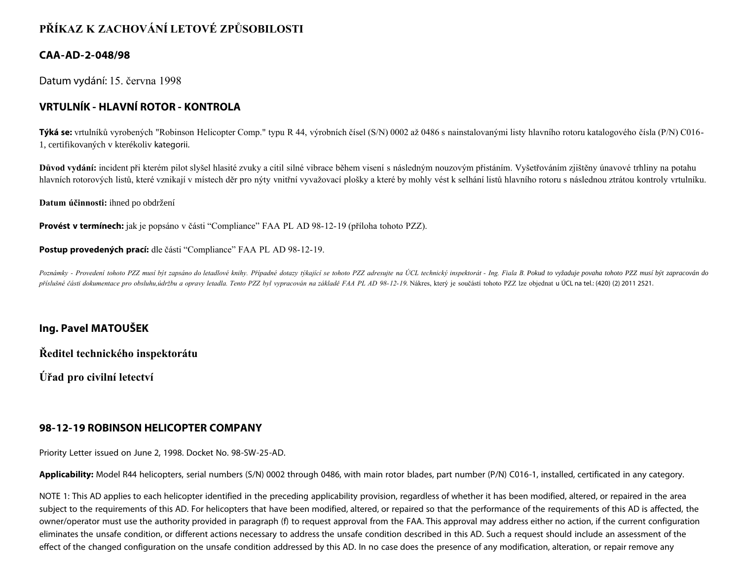# **PŘÍKAZ K ZACHOVÁNÍ LETOVÉ ZPŮSOBILOSTI**

### **CAA-AD-2-048/98**

Datum vydání: 15. června 1998

## **VRTULNÍK - HLAVNÍ ROTOR - KONTROLA**

**Týká se:** vrtulníků vyrobených "Robinson Helicopter Comp." typu R 44, výrobních čísel (S/N) 0002 až 0486 s nainstalovanými listy hlavního rotoru katalogového čísla (P/N) C016- 1, certifikovaných v kterékoliv kategorii.

**Důvod vydání:** incident při kterém pilot slyšel hlasité zvuky a cítil silné vibrace během visení s následným nouzovým přistáním. Vyšetřováním zjištěny únavové trhliny na potahu hlavních rotorových listů, které vznikají v místech děr pro nýty vnitřní vyvažovací plošky a které by mohly vést k selhání listů hlavního rotoru s následnou ztrátou kontroly vrtulníku.

**Datum účinnosti:** ihned po obdržení

**Provést v termínech:** jak je popsáno v části "Compliance" FAA PL AD 98-12-19 (příloha tohoto PZZ).

**Postup provedených prací:** dle části "Compliance" FAA PL AD 98-12-19.

Poznámky - Provedení tohoto PZZ musí být zapsáno do letadlové knihy. Případné dotazy týkající se tohoto PZZ adresujte na ÚCL technický inspektorát - Ing. Fiala B. Pokud to vyžaduje povaha tohoto PZZ musí být zapracován do příslušné části dokumentace pro obsluhu,údržbu a opravy letadla. Tento PZZ byl vypracován na základě FAA PL AD 98-12-19. Nákres, který je součástí tohoto PZZ lze objednat u ÚCL na tel.: (420) (2) 2011 2521.

### **Ing. Pavel MATOUŠEK**

**Ředitel technického inspektorátu**

**Úřad pro civilní letectví**

### **98-12-19 ROBINSON HELICOPTER COMPANY**

Priority Letter issued on June 2, 1998. Docket No. 98-SW-25-AD.

**Applicability:** Model R44 helicopters, serial numbers (S/N) 0002 through 0486, with main rotor blades, part number (P/N) C016-1, installed, certificated in any category.

NOTE 1: This AD applies to each helicopter identified in the preceding applicability provision, regardless of whether it has been modified, altered, or repaired in the area subject to the requirements of this AD. For helicopters that have been modified, altered, or repaired so that the performance of the requirements of this AD is affected, the owner/operator must use the authority provided in paragraph (f) to request approval from the FAA. This approval may address either no action, if the current configuration eliminates the unsafe condition, or different actions necessary to address the unsafe condition described in this AD. Such a request should include an assessment of the effect of the changed configuration on the unsafe condition addressed by this AD. In no case does the presence of any modification, alteration, or repair remove any